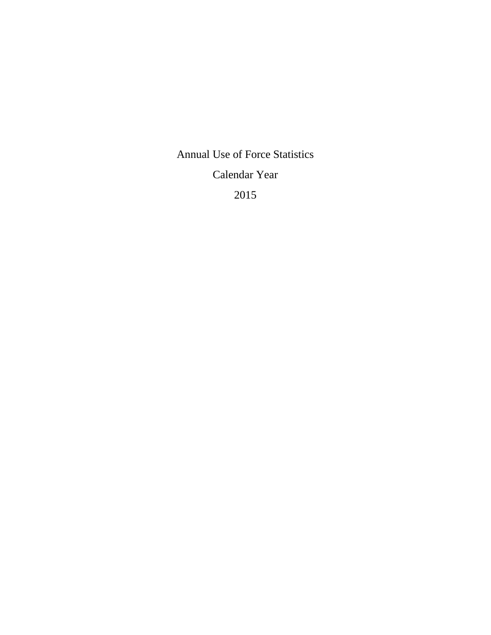Annual Use of Force Statistics

Calendar Year

2015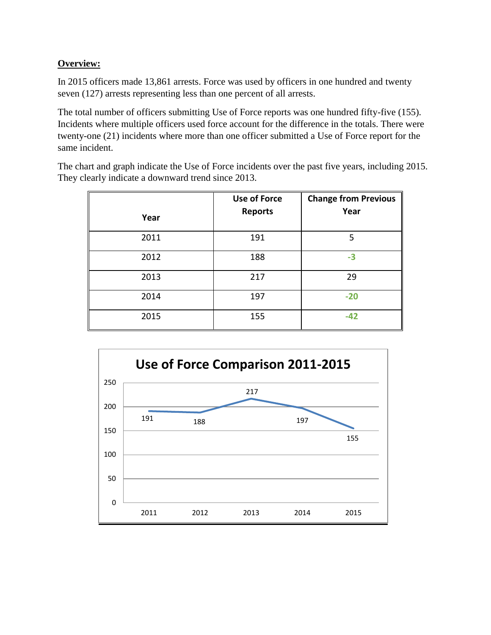## **Overview:**

In 2015 officers made 13,861 arrests. Force was used by officers in one hundred and twenty seven (127) arrests representing less than one percent of all arrests.

The total number of officers submitting Use of Force reports was one hundred fifty-five (155). Incidents where multiple officers used force account for the difference in the totals. There were twenty-one (21) incidents where more than one officer submitted a Use of Force report for the same incident.

The chart and graph indicate the Use of Force incidents over the past five years, including 2015. They clearly indicate a downward trend since 2013.

|      | <b>Use of Force</b> | <b>Change from Previous</b> |
|------|---------------------|-----------------------------|
| Year | <b>Reports</b>      | Year                        |
| 2011 | 191                 | 5                           |
| 2012 | 188                 | $-3$                        |
| 2013 | 217                 | 29                          |
| 2014 | 197                 | $-20$                       |
| 2015 | 155                 | $-42$                       |

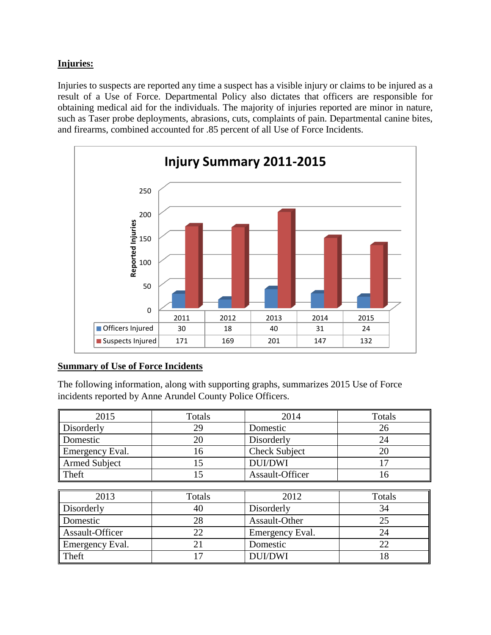## **Injuries:**

Injuries to suspects are reported any time a suspect has a visible injury or claims to be injured as a result of a Use of Force. Departmental Policy also dictates that officers are responsible for obtaining medical aid for the individuals. The majority of injuries reported are minor in nature, such as Taser probe deployments, abrasions, cuts, complaints of pain. Departmental canine bites, and firearms, combined accounted for .85 percent of all Use of Force Incidents.



## **Summary of Use of Force Incidents**

The following information, along with supporting graphs, summarizes 2015 Use of Force incidents reported by Anne Arundel County Police Officers.

| 2015                 | Totals | 2014                 | Totals |
|----------------------|--------|----------------------|--------|
| Disorderly           | 29     | Domestic             | 26     |
| Domestic             | 20     | Disorderly           | 24     |
| Emergency Eval.      | 16     | <b>Check Subject</b> | 20     |
| <b>Armed Subject</b> | 15     | <b>DUI/DWI</b>       | 17     |
| Theft                | 15     | Assault-Officer      | 16     |
|                      |        |                      |        |
| 2013                 | Totals | 2012                 | Totals |
| Disorderly           | 40     | Disorderly           | 34     |
| Domestic             | 28     | Assault-Other        | 25     |
| Assault-Officer      | 22     | Emergency Eval.      | 24     |
| Emergency Eval.      | 21     | Domestic             | 22     |
| Theft                | 17     | <b>DUI/DWI</b>       | 18     |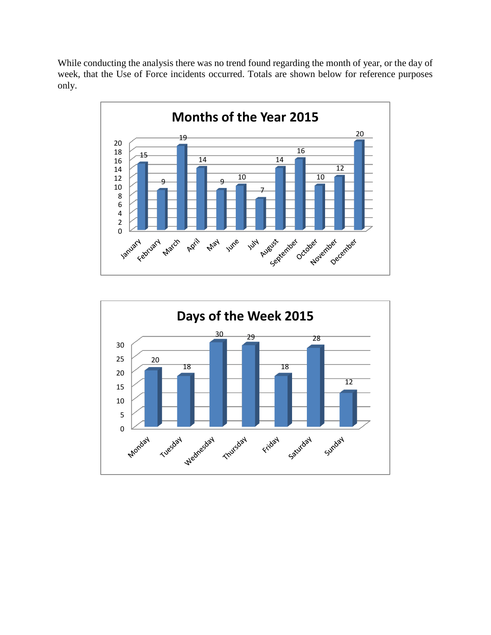While conducting the analysis there was no trend found regarding the month of year, or the day of week, that the Use of Force incidents occurred. Totals are shown below for reference purposes only.



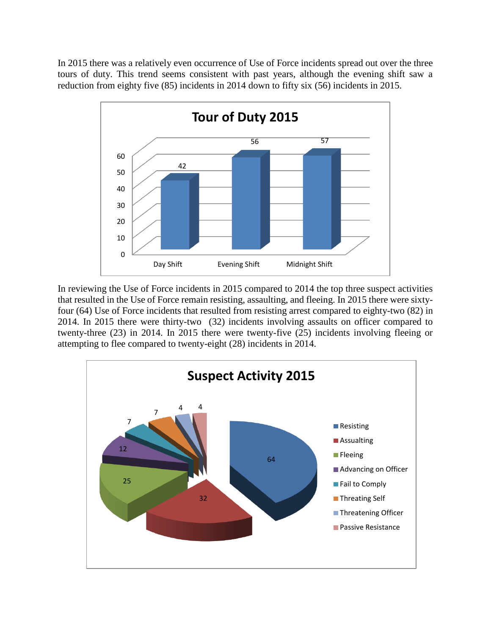In 2015 there was a relatively even occurrence of Use of Force incidents spread out over the three tours of duty. This trend seems consistent with past years, although the evening shift saw a reduction from eighty five (85) incidents in 2014 down to fifty six (56) incidents in 2015.



In reviewing the Use of Force incidents in 2015 compared to 2014 the top three suspect activities that resulted in the Use of Force remain resisting, assaulting, and fleeing. In 2015 there were sixtyfour (64) Use of Force incidents that resulted from resisting arrest compared to eighty-two (82) in 2014. In 2015 there were thirty-two (32) incidents involving assaults on officer compared to twenty-three (23) in 2014. In 2015 there were twenty-five (25) incidents involving fleeing or attempting to flee compared to twenty-eight (28) incidents in 2014.

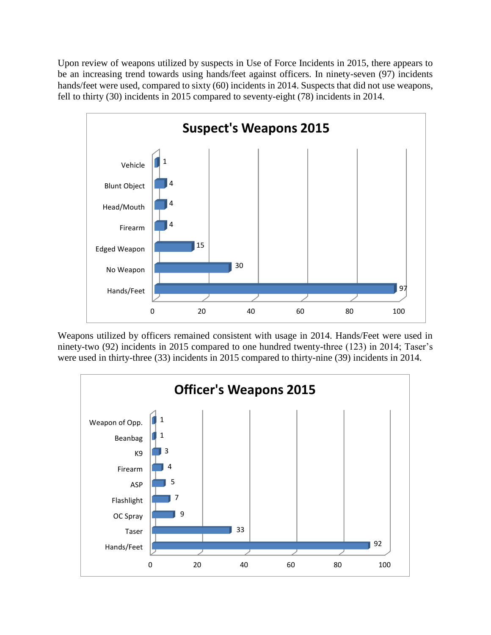Upon review of weapons utilized by suspects in Use of Force Incidents in 2015, there appears to be an increasing trend towards using hands/feet against officers. In ninety-seven (97) incidents hands/feet were used, compared to sixty (60) incidents in 2014. Suspects that did not use weapons, fell to thirty (30) incidents in 2015 compared to seventy-eight (78) incidents in 2014.



Weapons utilized by officers remained consistent with usage in 2014. Hands/Feet were used in ninety-two (92) incidents in 2015 compared to one hundred twenty-three (123) in 2014; Taser's were used in thirty-three (33) incidents in 2015 compared to thirty-nine (39) incidents in 2014.